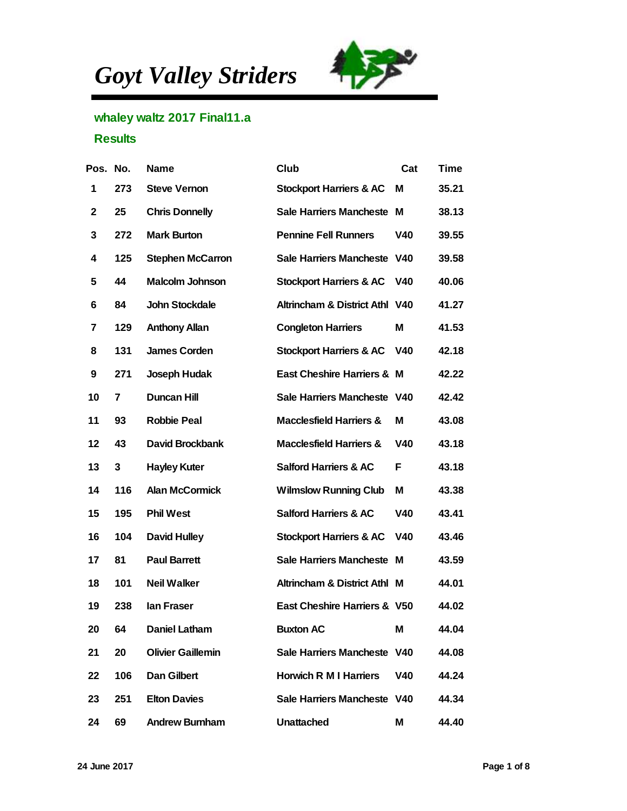*Goyt Valley Striders*



## whaley waltz 2017 Final11.a

## **Results**

| Pos. No. |     | Name                     | Club                           | Cat | Time  |
|----------|-----|--------------------------|--------------------------------|-----|-------|
| 1        | 273 | <b>Steve Vernon</b>      | Stockport Harriers & AC        | M   | 35.21 |
| 2        | 25  | <b>Chris Donnelly</b>    | Sale Harriers Mancheste        | M   | 38.13 |
| 3        | 272 | Mark Burton              | <b>Pennine Fell Runners</b>    | V40 | 39.55 |
| 4        | 125 | Stephen McCarron         | Sale Harriers Mancheste V40    |     | 39.58 |
| 5        | 44  | Malcolm Johnson          | Stockport Harriers & AC        | V40 | 40.06 |
| 6        | 84  | John Stockdale           | Altrincham & District Athl V40 |     | 41.27 |
| 7        | 129 | Anthony Allan            | <b>Congleton Harriers</b>      | M   | 41.53 |
| 8        | 131 | James Corden             | Stockport Harriers & AC        | V40 | 42.18 |
| 9        | 271 | Joseph Hudak             | East Cheshire Harriers & M     |     | 42.22 |
| 10       | 7   | Duncan Hill              | Sale Harriers Mancheste V40    |     | 42.42 |
| 11       | 93  | Robbie Peal              | Macclesfield Harriers &        | M   | 43.08 |
| 12       | 43  | David Brockbank          | Macclesfield Harriers &        | V40 | 43.18 |
| 13       | 3   | <b>Hayley Kuter</b>      | Salford Harriers & AC          | F   | 43.18 |
| 14       | 116 | Alan McCormick           | <b>Wilmslow Running Club</b>   | M   | 43.38 |
| 15       | 195 | Phil West                | Salford Harriers & AC          | V40 | 43.41 |
| 16       | 104 | David Hulley             | Stockport Harriers & AC        | V40 | 43.46 |
| 17       | 81  | Paul Barrett             | Sale Harriers Mancheste M      |     | 43.59 |
| 18       | 101 | Neil Walker              | Altrincham & District Athl M   |     | 44.01 |
| 19       | 238 | lan Fraser               | East Cheshire Harriers & V50   |     | 44.02 |
| 20       | 64  | Daniel Latham            | <b>Buxton AC</b>               | M   | 44.04 |
| 21       | 20  | <b>Olivier Gaillemin</b> | Sale Harriers Mancheste V40    |     | 44.08 |
| 22       | 106 | Dan Gilbert              | Horwich R M I Harriers         | V40 | 44.24 |
| 23       | 251 | <b>Elton Davies</b>      | Sale Harriers Mancheste V40    |     | 44.34 |
| 24       | 69  | Andrew Burnham           | Unattached                     | M   | 44.40 |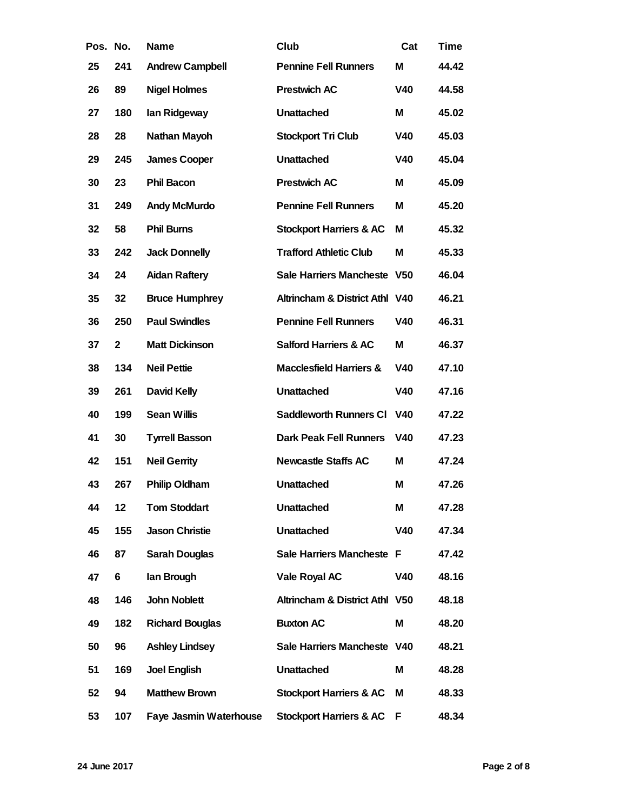| Pos. | No.            | Name                   | Club                           | Cat             | Time  |
|------|----------------|------------------------|--------------------------------|-----------------|-------|
| 25   | 241            | Andrew Campbell        | <b>Pennine Fell Runners</b>    | M               | 44.42 |
| 26   | 89             | Nigel Holmes           | Prestwich AC                   | V40             | 44.58 |
| 27   | 180            | lan Ridgeway           | Unattached                     | M               | 45.02 |
| 28   | 28             | Nathan Mayoh           | Stockport Tri Club             | V40             | 45.03 |
| 29   | 245            | James Cooper           | Unattached                     | V40             | 45.04 |
| 30   | 23             | Phil Bacon             | Prestwich AC                   | M               | 45.09 |
| 31   | 249            | Andy McMurdo           | <b>Pennine Fell Runners</b>    | Μ               | 45.20 |
| 32   | 58             | Phil Burns             | Stockport Harriers & AC        | М               | 45.32 |
| 33   | 242            | Jack Donnelly          | <b>Trafford Athletic Club</b>  | M               | 45.33 |
| 34   | 24             | Aidan Raftery          | Sale Harriers Mancheste        | V <sub>50</sub> | 46.04 |
| 35   | 32             | <b>Bruce Humphrey</b>  | Altrincham & District Athl V40 |                 | 46.21 |
| 36   | 250            | <b>Paul Swindles</b>   | <b>Pennine Fell Runners</b>    | V40             | 46.31 |
| 37   | $\overline{c}$ | Matt Dickinson         | Salford Harriers & AC          | M               | 46.37 |
| 38   | 134            | <b>Neil Pettie</b>     | Macclesfield Harriers &        | V40             | 47.10 |
| 39   | 261            | David Kelly            | Unattached                     | V40             | 47.16 |
| 40   | 199            | Sean Willis            | Saddleworth Runners CI         | V40             | 47.22 |
| 41   | 30             | <b>Tyrrell Basson</b>  | Dark Peak Fell Runners         | V40             | 47.23 |
| 42   | 151            | <b>Neil Gerrity</b>    | <b>Newcastle Staffs AC</b>     | M               | 47.24 |
| 43   | 267            | Philip Oldham          | Unattached                     | M               | 47.26 |
| 44   | 12             | Tom Stoddart           | Unattached                     | M               | 47.28 |
| 45   | 155            | Jason Christie         | Unattached                     | V40             | 47.34 |
| 46   | 87             | Sarah Douglas          | Sale Harriers Mancheste F      |                 | 47.42 |
| 47   | 6              | lan Brough             | Vale Royal AC                  | V40             | 48.16 |
| 48   | 146            | John Noblett           | Altrincham & District Athl V50 |                 | 48.18 |
| 49   | 182            | <b>Richard Bouglas</b> | <b>Buxton AC</b>               | M               | 48.20 |
| 50   | 96             | Ashley Lindsey         | Sale Harriers Mancheste V40    |                 | 48.21 |
| 51   | 169            | Joel English           | Unattached                     | M               | 48.28 |
| 52   | 94             | Matthew Brown          | Stockport Harriers & AC        | M               | 48.33 |
| 53   | 107            | Faye Jasmin Waterhouse | Stockport Harriers & AC        | F               | 48.34 |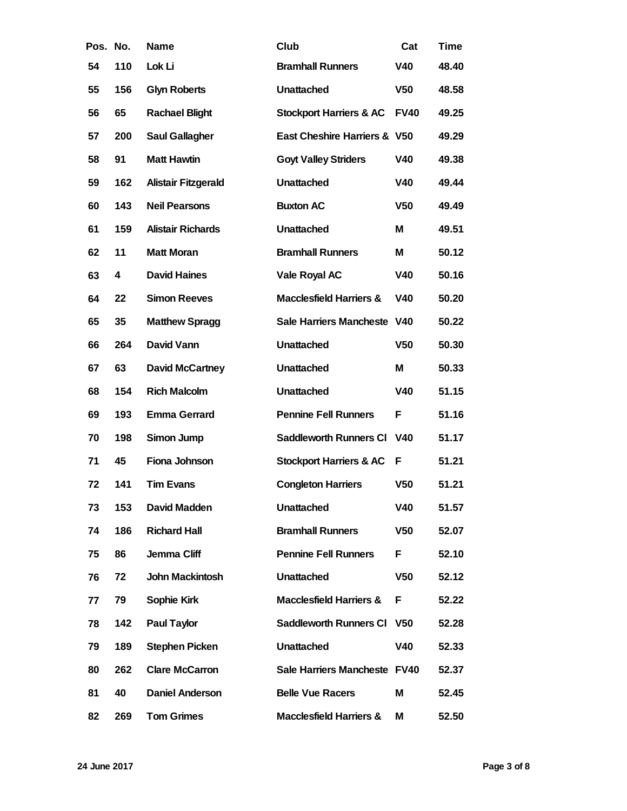| Pos. No. |     | Name                 | Club                         | Cat             | Time  |
|----------|-----|----------------------|------------------------------|-----------------|-------|
| 54       | 110 | Lok Li               | <b>Bramhall Runners</b>      | V40             | 48.40 |
| 55       | 156 | <b>Glyn Roberts</b>  | Unattached                   | V <sub>50</sub> | 48.58 |
| 56       | 65  | Rachael Blight       | Stockport Harriers & AC      | <b>FV40</b>     | 49.25 |
| 57       | 200 | Saul Gallagher       | East Cheshire Harriers & V50 |                 | 49.29 |
| 58       | 91  | <b>Matt Hawtin</b>   | <b>Goyt Valley Striders</b>  | V40             | 49.38 |
| 59       | 162 | Alistair Fitzgerald  | Unattached                   | V40             | 49.44 |
| 60       | 143 | <b>Neil Pearsons</b> | <b>Buxton AC</b>             | V <sub>50</sub> | 49.49 |
| 61       | 159 | Alistair Richards    | Unattached                   | M               | 49.51 |
| 62       | 11  | Matt Moran           | <b>Bramhall Runners</b>      | M               | 50.12 |
| 63       | 4   | David Haines         | Vale Royal AC                | V40             | 50.16 |
| 64       | 22  | <b>Simon Reeves</b>  | Macclesfield Harriers &      | V40             | 50.20 |
| 65       | 35  | Matthew Spragg       | Sale Harriers Mancheste      | V40             | 50.22 |
| 66       | 264 | David Vann           | Unattached                   | V <sub>50</sub> | 50.30 |
| 67       | 63  | David McCartney      | Unattached                   | M               | 50.33 |
| 68       | 154 | <b>Rich Malcolm</b>  | Unattached                   | V40             | 51.15 |
| 69       | 193 | Emma Gerrard         | Pennine Fell Runners         | F               | 51.16 |
| 70       | 198 | Simon Jump           | Saddleworth Runners CI       | V40             | 51.17 |
| 71       | 45  | Fiona Johnson        | Stockport Harriers & AC      | F               | 51.21 |
| 72       | 141 | <b>Tim Evans</b>     | <b>Congleton Harriers</b>    | V <sub>50</sub> | 51.21 |
| 73       | 153 | David Madden         | Unattached                   | V40             | 51.57 |
| 74       | 186 | <b>Richard Hall</b>  | <b>Bramhall Runners</b>      | V <sub>50</sub> | 52.07 |
| 75       | 86  | Jemma Cliff          | <b>Pennine Fell Runners</b>  | F               | 52.10 |
| 76       | 72  | John Mackintosh      | Unattached                   | V <sub>50</sub> | 52.12 |
| 77       | 79  | Sophie Kirk          | Macclesfield Harriers &      | F               | 52.22 |
| 78       | 142 | Paul Taylor          | Saddleworth Runners CI       | V <sub>50</sub> | 52.28 |
| 79       | 189 | Stephen Picken       | Unattached                   | V40             | 52.33 |
| 80       | 262 | Clare McCarron       | Sale Harriers Mancheste FV40 |                 | 52.37 |
| 81       | 40  | Daniel Anderson      | <b>Belle Vue Racers</b>      | M               | 52.45 |
| 82       | 269 | <b>Tom Grimes</b>    | Macclesfield Harriers &      | M               | 52.50 |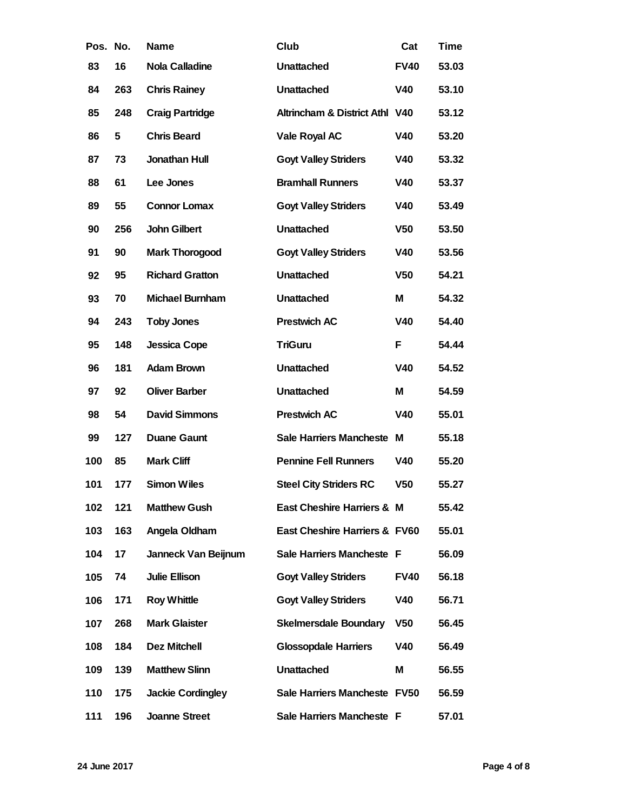| Pos. No. |     | Name                   | Club                           | Cat             | Time  |
|----------|-----|------------------------|--------------------------------|-----------------|-------|
| 83       | 16  | Nola Calladine         | Unattached                     | <b>FV40</b>     | 53.03 |
| 84       | 263 | <b>Chris Rainey</b>    | Unattached                     | V40             | 53.10 |
| 85       | 248 | Craig Partridge        | Altrincham & District Athl V40 |                 | 53.12 |
| 86       | 5   | <b>Chris Beard</b>     | Vale Royal AC                  | V40             | 53.20 |
| 87       | 73  | Jonathan Hull          | <b>Goyt Valley Striders</b>    | V40             | 53.32 |
| 88       | 61  | Lee Jones              | <b>Bramhall Runners</b>        | V40             | 53.37 |
| 89       | 55  | Connor Lomax           | <b>Goyt Valley Striders</b>    | V40             | 53.49 |
| 90       | 256 | John Gilbert           | Unattached                     | V <sub>50</sub> | 53.50 |
| 91       | 90  | Mark Thorogood         | <b>Goyt Valley Striders</b>    | V40             | 53.56 |
| 92       | 95  | <b>Richard Gratton</b> | Unattached                     | V <sub>50</sub> | 54.21 |
| 93       | 70  | Michael Burnham        | Unattached                     | M               | 54.32 |
| 94       | 243 | <b>Toby Jones</b>      | Prestwich AC                   | V40             | 54.40 |
| 95       | 148 | Jessica Cope           | <b>TriGuru</b>                 | F               | 54.44 |
| 96       | 181 | Adam Brown             | Unattached                     | V40             | 54.52 |
| 97       | 92  | <b>Oliver Barber</b>   | Unattached                     | M               | 54.59 |
| 98       | 54  | David Simmons          | Prestwich AC                   | V40             | 55.01 |
| 99       | 127 | Duane Gaunt            | Sale Harriers Mancheste        | м               | 55.18 |
| 100      | 85  | Mark Cliff             | <b>Pennine Fell Runners</b>    | V40             | 55.20 |
| 101      | 177 | Simon Wiles            | <b>Steel City Striders RC</b>  | V <sub>50</sub> | 55.27 |
| 102      | 121 | <b>Matthew Gush</b>    | East Cheshire Harriers & M     |                 | 55.42 |
| 103      | 163 | Angela Oldham          | East Cheshire Harriers & FV60  |                 | 55.01 |
| 104      | 17  | Janneck Van Beijnum    | Sale Harriers Mancheste F      |                 | 56.09 |
| 105      | 74  | Julie Ellison          | <b>Goyt Valley Striders</b>    | <b>FV40</b>     | 56.18 |
| 106      | 171 | Roy Whittle            | <b>Goyt Valley Striders</b>    | V40             | 56.71 |
| 107      | 268 | Mark Glaister          | Skelmersdale Boundary          | V <sub>50</sub> | 56.45 |
| 108      | 184 | Dez Mitchell           | <b>Glossopdale Harriers</b>    | V40             | 56.49 |
| 109      | 139 | <b>Matthew Slinn</b>   | Unattached                     | M               | 56.55 |
| 110      | 175 | Jackie Cordingley      | Sale Harriers Mancheste FV50   |                 | 56.59 |
| 111      | 196 | Joanne Street          | Sale Harriers Mancheste F      |                 | 57.01 |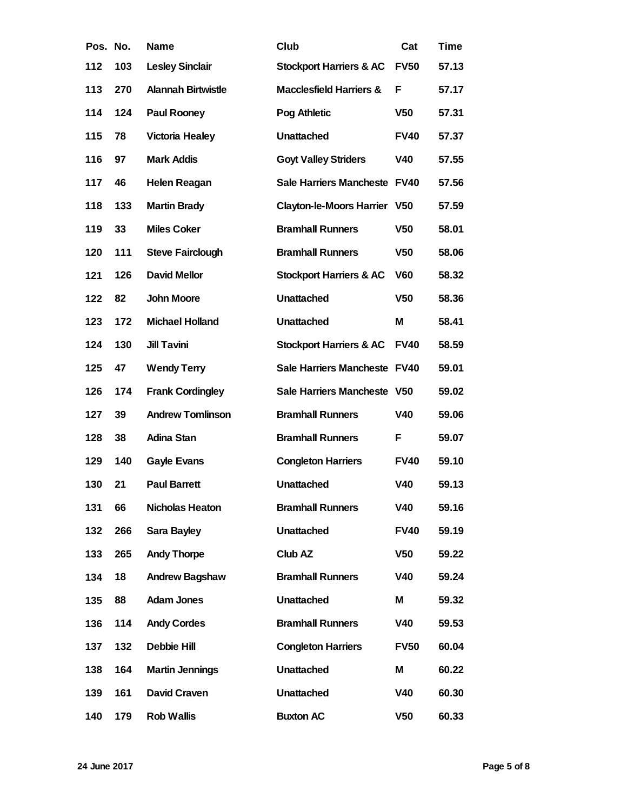| Pos. No. |     | Name                    | Club                         | Cat             | Time  |
|----------|-----|-------------------------|------------------------------|-----------------|-------|
| 112      | 103 | Lesley Sinclair         | Stockport Harriers & AC      | <b>FV50</b>     | 57.13 |
| 113      | 270 | Alannah Birtwistle      | Macclesfield Harriers &      | F               | 57.17 |
| 114      | 124 | Paul Rooney             | Pog Athletic                 | V <sub>50</sub> | 57.31 |
| 115      | 78  | Victoria Healey         | Unattached                   | <b>FV40</b>     | 57.37 |
| 116      | 97  | Mark Addis              | <b>Goyt Valley Striders</b>  | V40             | 57.55 |
| 117      | 46  | Helen Reagan            | Sale Harriers Mancheste FV40 |                 | 57.56 |
| 118      | 133 | Martin Brady            | Clayton-le-Moors Harrier     | V <sub>50</sub> | 57.59 |
| 119      | 33  | <b>Miles Coker</b>      | <b>Bramhall Runners</b>      | V <sub>50</sub> | 58.01 |
| 120      | 111 | Steve Fairclough        | <b>Bramhall Runners</b>      | V <sub>50</sub> | 58.06 |
| 121      | 126 | David Mellor            | Stockport Harriers & AC      | V60             | 58.32 |
| 122      | 82  | John Moore              | Unattached                   | V <sub>50</sub> | 58.36 |
| 123      | 172 | Michael Holland         | Unattached                   | M               | 58.41 |
| 124      | 130 | <b>Jill Tavini</b>      | Stockport Harriers & AC      | <b>FV40</b>     | 58.59 |
| 125      | 47  | <b>Wendy Terry</b>      | Sale Harriers Mancheste FV40 |                 | 59.01 |
| 126      | 174 | <b>Frank Cordingley</b> | Sale Harriers Mancheste V50  |                 | 59.02 |
| 127      | 39  | <b>Andrew Tomlinson</b> | <b>Bramhall Runners</b>      | V40             | 59.06 |
| 128      | 38  | Adina Stan              | <b>Bramhall Runners</b>      | F               | 59.07 |
| 129      | 140 | Gayle Evans             | <b>Congleton Harriers</b>    | <b>FV40</b>     | 59.10 |
| 130      | 21  | <b>Paul Barrett</b>     | Unattached                   | V40             | 59.13 |
| 131      | 66  | Nicholas Heaton         | <b>Bramhall Runners</b>      | V40             | 59.16 |
| 132      | 266 | Sara Bayley             | Unattached                   | <b>FV40</b>     | 59.19 |
| 133      | 265 | Andy Thorpe             | Club AZ                      | V <sub>50</sub> | 59.22 |
| 134      | 18  | Andrew Bagshaw          | <b>Bramhall Runners</b>      | V40             | 59.24 |
| 135      | 88  | Adam Jones              | Unattached                   | M               | 59.32 |
| 136      | 114 | <b>Andy Cordes</b>      | <b>Bramhall Runners</b>      | V40             | 59.53 |
| 137      | 132 | Debbie Hill             | <b>Congleton Harriers</b>    | <b>FV50</b>     | 60.04 |
| 138      | 164 | Martin Jennings         | Unattached                   | M               | 60.22 |
| 139      | 161 | David Craven            | Unattached                   | V40             | 60.30 |
| 140      | 179 | Rob Wallis              | <b>Buxton AC</b>             | V50             | 60.33 |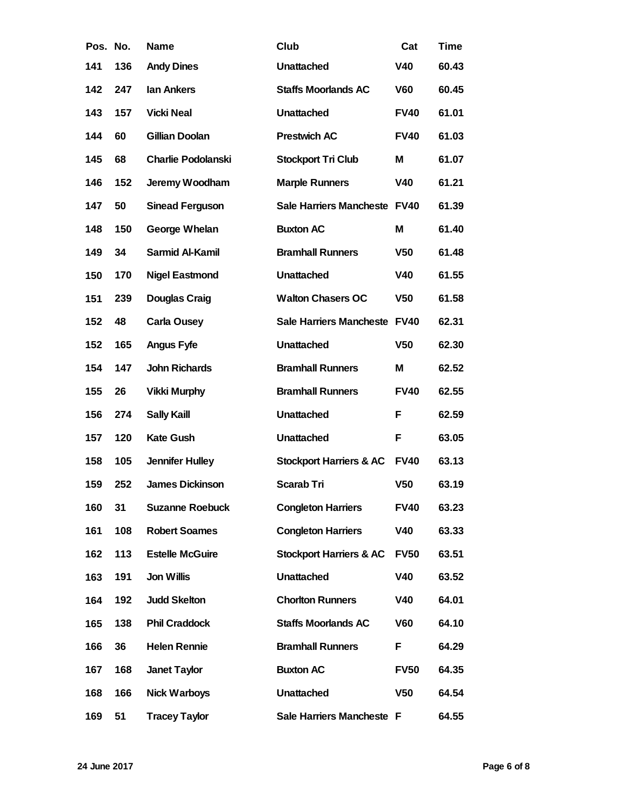| Pos. No. |     | Name                   | Club                         | Cat             | Time  |
|----------|-----|------------------------|------------------------------|-----------------|-------|
| 141      | 136 | <b>Andy Dines</b>      | Unattached                   | V40             | 60.43 |
| 142      | 247 | lan Ankers             | <b>Staffs Moorlands AC</b>   | V60             | 60.45 |
| 143      | 157 | Vicki Neal             | Unattached                   | <b>FV40</b>     | 61.01 |
| 144      | 60  | Gillian Doolan         | Prestwich AC                 | <b>FV40</b>     | 61.03 |
| 145      | 68  | Charlie Podolanski     | Stockport Tri Club           | M               | 61.07 |
| 146      | 152 | Jeremy Woodham         | <b>Marple Runners</b>        | V40             | 61.21 |
| 147      | 50  | Sinead Ferguson        | Sale Harriers Mancheste FV40 |                 | 61.39 |
| 148      | 150 | George Whelan          | <b>Buxton AC</b>             | M               | 61.40 |
| 149      | 34  | Sarmid Al-Kamil        | <b>Bramhall Runners</b>      | V <sub>50</sub> | 61.48 |
| 150      | 170 | Nigel Eastmond         | Unattached                   | V40             | 61.55 |
| 151      | 239 | Douglas Craig          | <b>Walton Chasers OC</b>     | V <sub>50</sub> | 61.58 |
| 152      | 48  | Carla Ousey            | Sale Harriers Mancheste FV40 |                 | 62.31 |
| 152      | 165 | Angus Fyfe             | Unattached                   | V <sub>50</sub> | 62.30 |
| 154      | 147 | John Richards          | <b>Bramhall Runners</b>      | M               | 62.52 |
| 155      | 26  | Vikki Murphy           | <b>Bramhall Runners</b>      | <b>FV40</b>     | 62.55 |
| 156      | 274 | Sally Kaill            | Unattached                   | F               | 62.59 |
| 157      | 120 | <b>Kate Gush</b>       | Unattached                   | F               | 63.05 |
| 158      | 105 | Jennifer Hulley        | Stockport Harriers & AC      | <b>FV40</b>     | 63.13 |
| 159      | 252 | James Dickinson        | Scarab Tri                   | V <sub>50</sub> | 63.19 |
| 160      | 31  | Suzanne Roebuck        | <b>Congleton Harriers</b>    | <b>FV40</b>     | 63.23 |
| 161      | 108 | <b>Robert Soames</b>   | <b>Congleton Harriers</b>    | V40             | 63.33 |
| 162      | 113 | <b>Estelle McGuire</b> | Stockport Harriers & AC      | <b>FV50</b>     | 63.51 |
| 163      | 191 | Jon Willis             | Unattached                   | V40             | 63.52 |
| 164      | 192 | <b>Judd Skelton</b>    | <b>Chorlton Runners</b>      | V40             | 64.01 |
| 165      | 138 | Phil Craddock          | <b>Staffs Moorlands AC</b>   | V60             | 64.10 |
| 166      | 36  | Helen Rennie           | <b>Bramhall Runners</b>      | F               | 64.29 |
| 167      | 168 | Janet Taylor           | <b>Buxton AC</b>             | <b>FV50</b>     | 64.35 |
| 168      | 166 | Nick Warboys           | Unattached                   | V <sub>50</sub> | 64.54 |
| 169      | 51  | <b>Tracey Taylor</b>   | Sale Harriers Mancheste F    |                 | 64.55 |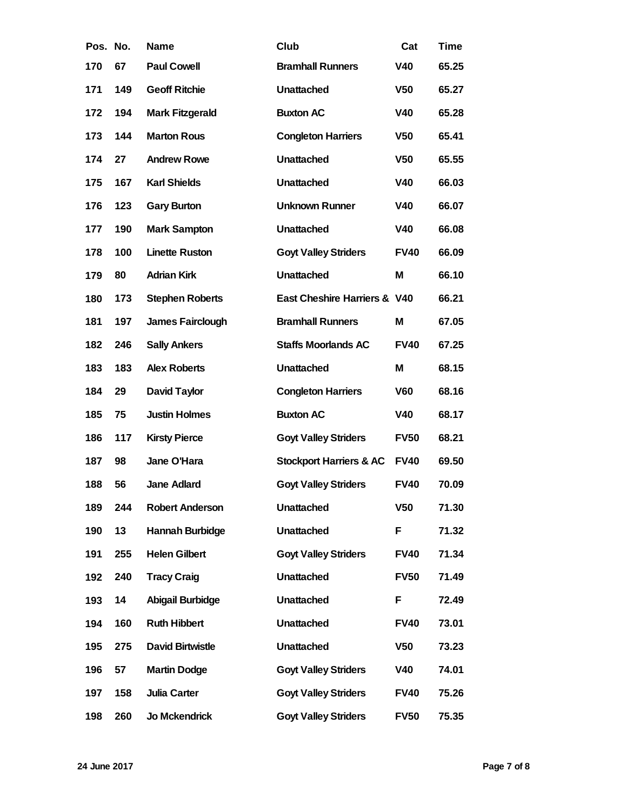| Pos. No. |     | Name                   | Club                         | Cat             | Time  |
|----------|-----|------------------------|------------------------------|-----------------|-------|
| 170      | 67  | Paul Cowell            | <b>Bramhall Runners</b>      | V40             | 65.25 |
| 171      | 149 | <b>Geoff Ritchie</b>   | Unattached                   | V <sub>50</sub> | 65.27 |
| 172      | 194 | Mark Fitzgerald        | <b>Buxton AC</b>             | V40             | 65.28 |
| 173      | 144 | <b>Marton Rous</b>     | <b>Congleton Harriers</b>    | V <sub>50</sub> | 65.41 |
| 174      | 27  | <b>Andrew Rowe</b>     | Unattached                   | V <sub>50</sub> | 65.55 |
| 175      | 167 | <b>Karl Shields</b>    | Unattached                   | V40             | 66.03 |
| 176      | 123 | <b>Gary Burton</b>     | Unknown Runner               | V40             | 66.07 |
| 177      | 190 | Mark Sampton           | Unattached                   | V40             | 66.08 |
| 178      | 100 | Linette Ruston         | <b>Goyt Valley Striders</b>  | <b>FV40</b>     | 66.09 |
| 179      | 80  | <b>Adrian Kirk</b>     | Unattached                   | M               | 66.10 |
| 180      | 173 | <b>Stephen Roberts</b> | East Cheshire Harriers & V40 |                 | 66.21 |
| 181      | 197 | James Fairclough       | <b>Bramhall Runners</b>      | M               | 67.05 |
| 182      | 246 | <b>Sally Ankers</b>    | <b>Staffs Moorlands AC</b>   | <b>FV40</b>     | 67.25 |
| 183      | 183 | Alex Roberts           | Unattached                   | M               | 68.15 |
| 184      | 29  | David Taylor           | <b>Congleton Harriers</b>    | V60             | 68.16 |
| 185      | 75  | <b>Justin Holmes</b>   | <b>Buxton AC</b>             | V40             | 68.17 |
| 186      | 117 | <b>Kirsty Pierce</b>   | <b>Goyt Valley Striders</b>  | <b>FV50</b>     | 68.21 |
| 187      | 98  | Jane O'Hara            | Stockport Harriers & AC      | <b>FV40</b>     | 69.50 |
| 188      | 56  | Jane Adlard            | <b>Goyt Valley Striders</b>  | <b>FV40</b>     | 70.09 |
| 189      | 244 | Robert Anderson        | Unattached                   | V <sub>50</sub> | 71.30 |
| 190      | 13  | Hannah Burbidge        | Unattached                   | F               | 71.32 |
| 191      | 255 | <b>Helen Gilbert</b>   | <b>Goyt Valley Striders</b>  | <b>FV40</b>     | 71.34 |
| 192      | 240 | <b>Tracy Craig</b>     | Unattached                   | <b>FV50</b>     | 71.49 |
| 193      | 14  | Abigail Burbidge       | Unattached                   | F               | 72.49 |
| 194      | 160 | Ruth Hibbert           | Unattached                   | <b>FV40</b>     | 73.01 |
| 195      | 275 | David Birtwistle       | Unattached                   | V <sub>50</sub> | 73.23 |
| 196      | 57  | Martin Dodge           | <b>Goyt Valley Striders</b>  | V40             | 74.01 |
| 197      | 158 | Julia Carter           | <b>Goyt Valley Striders</b>  | <b>FV40</b>     | 75.26 |
| 198      | 260 | Jo Mckendrick          | <b>Goyt Valley Striders</b>  | <b>FV50</b>     | 75.35 |